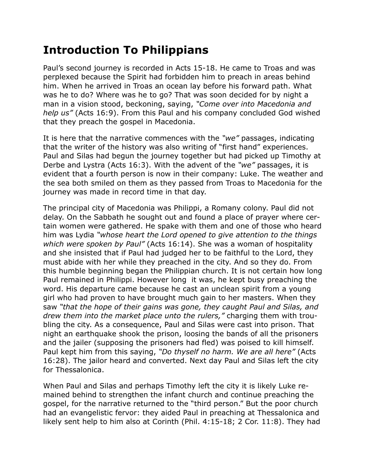## **Introduction To Philippians**

Paul's second journey is recorded in Acts 15-18. He came to Troas and was perplexed because the Spirit had forbidden him to preach in areas behind him. When he arrived in Troas an ocean lay before his forward path. What was he to do? Where was he to go? That was soon decided for by night a man in a vision stood, beckoning, saying, *"Come over into Macedonia and help us"* (Acts 16:9). From this Paul and his company concluded God wished that they preach the gospel in Macedonia.

It is here that the narrative commences with the *"we"* passages, indicating that the writer of the history was also writing of "first hand" experiences. Paul and Silas had begun the journey together but had picked up Timothy at Derbe and Lystra (Acts 16:3). With the advent of the *"we"* passages, it is evident that a fourth person is now in their company: Luke. The weather and the sea both smiled on them as they passed from Troas to Macedonia for the journey was made in record time in that day.

The principal city of Macedonia was Philippi, a Romany colony. Paul did not delay. On the Sabbath he sought out and found a place of prayer where certain women were gathered. He spake with them and one of those who heard him was Lydia *"whose heart the Lord opened to give attention to the things which were spoken by Paul"* (Acts 16:14). She was a woman of hospitality and she insisted that if Paul had judged her to be faithful to the Lord, they must abide with her while they preached in the city. And so they do. From this humble beginning began the Philippian church. It is not certain how long Paul remained in Philippi. However long it was, he kept busy preaching the word. His departure came because he cast an unclean spirit from a young girl who had proven to have brought much gain to her masters. When they saw *"that the hope of their gains was gone, they caught Paul and Silas, and drew them into the market place unto the rulers,"* charging them with troubling the city. As a consequence, Paul and Silas were cast into prison. That night an earthquake shook the prison, loosing the bands of all the prisoners and the jailer (supposing the prisoners had fled) was poised to kill himself. Paul kept him from this saying, *"Do thyself no harm. We are all here"* (Acts 16:28). The jailor heard and converted. Next day Paul and Silas left the city for Thessalonica.

When Paul and Silas and perhaps Timothy left the city it is likely Luke remained behind to strengthen the infant church and continue preaching the gospel, for the narrative returned to the "third person." But the poor church had an evangelistic fervor: they aided Paul in preaching at Thessalonica and likely sent help to him also at Corinth (Phil. 4:15-18; 2 Cor. 11:8). They had